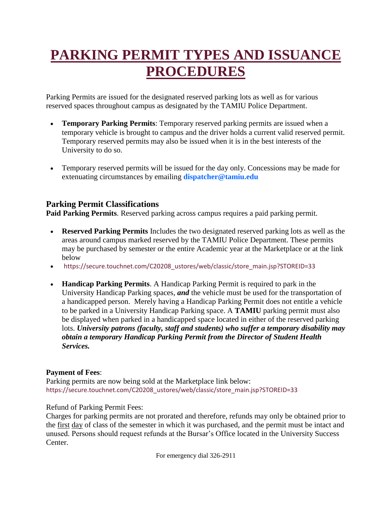## **PARKING PERMIT TYPES AND ISSUANCE PROCEDURES**

Parking Permits are issued for the designated reserved parking lots as well as for various reserved spaces throughout campus as designated by the TAMIU Police Department.

- **Temporary Parking Permits**: Temporary reserved parking permits are issued when a temporary vehicle is brought to campus and the driver holds a current valid reserved permit. Temporary reserved permits may also be issued when it is in the best interests of the University to do so.
- Temporary reserved permits will be issued for the day only. Concessions may be made for extenuating circumstances by emailing **dispatcher@tamiu.edu**

## **Parking Permit Classifications**

**Paid Parking Permits**. Reserved parking across campus requires a paid parking permit.

- **Reserved Parking Permits** Includes the two designated reserved parking lots as well as the areas around campus marked reserved by the TAMIU Police Department. These permits may be purchased by semester or the entire Academic year at the Marketplace or at the link below
- [https://secure.touchnet.com/C20208\\_ustores/web/classic/store\\_main.jsp?STOREID=33](https://secure.touchnet.com/C20208_ustores/web/classic/store_main.jsp?STOREID=33)
- **Handicap Parking Permits**. A Handicap Parking Permit is required to park in the University Handicap Parking spaces, *and* the vehicle must be used for the transportation of a handicapped person. Merely having a Handicap Parking Permit does not entitle a vehicle to be parked in a University Handicap Parking space. A **TAMIU** parking permit must also be displayed when parked in a handicapped space located in either of the reserved parking lots. *University patrons (faculty, staff and students) who suffer a temporary disability may obtain a temporary Handicap Parking Permit from the Director of Student Health Services.*

## **Payment of Fees**:

Parking permits are now being sold at the Marketplace link below: [https://secure.touchnet.com/C20208\\_ustores/web/classic/store\\_main.jsp?STOREID=33](https://secure.touchnet.com/C20208_ustores/web/classic/store_main.jsp?STOREID=33)

Refund of Parking Permit Fees:

Charges for parking permits are not prorated and therefore, refunds may only be obtained prior to the first day of class of the semester in which it was purchased, and the permit must be intact and unused. Persons should request refunds at the Bursar's Office located in the University Success Center.

For emergency dial 326-2911